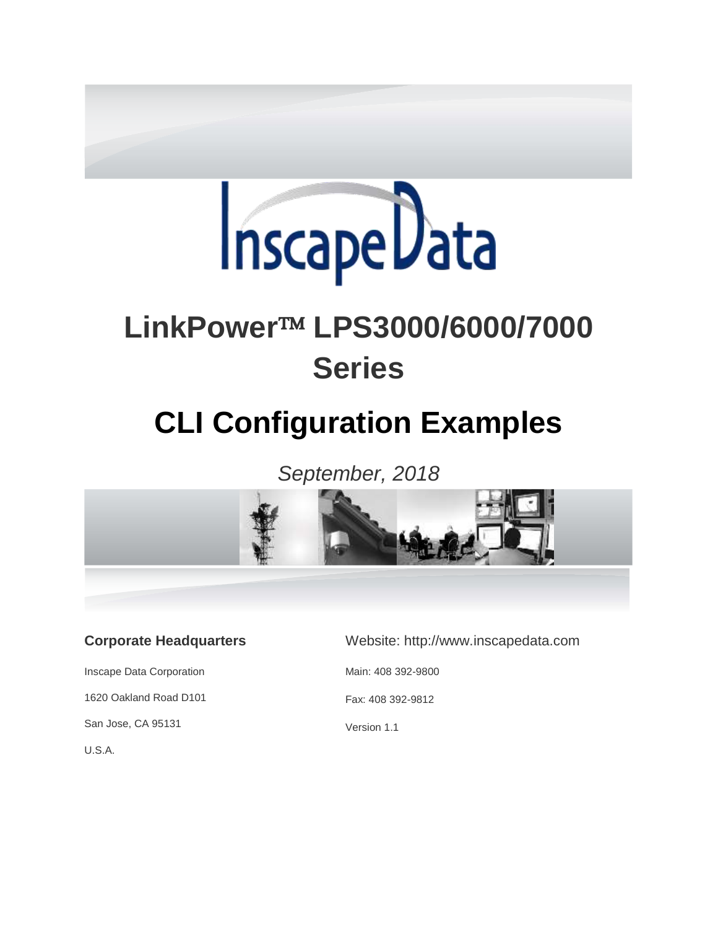

# **LinkPower™ LPS3000/6000/7000 Series**

## **CLI Configuration Examples**

*September, 2018*



#### **Corporate Headquarters**

Inscape Data Corporation 1620 Oakland Road D101 San Jose, CA 95131 U.S.A.

Website: http://www.inscapedata.com

Main: 408 392-9800

Fax: 408 392-9812

Version 1.1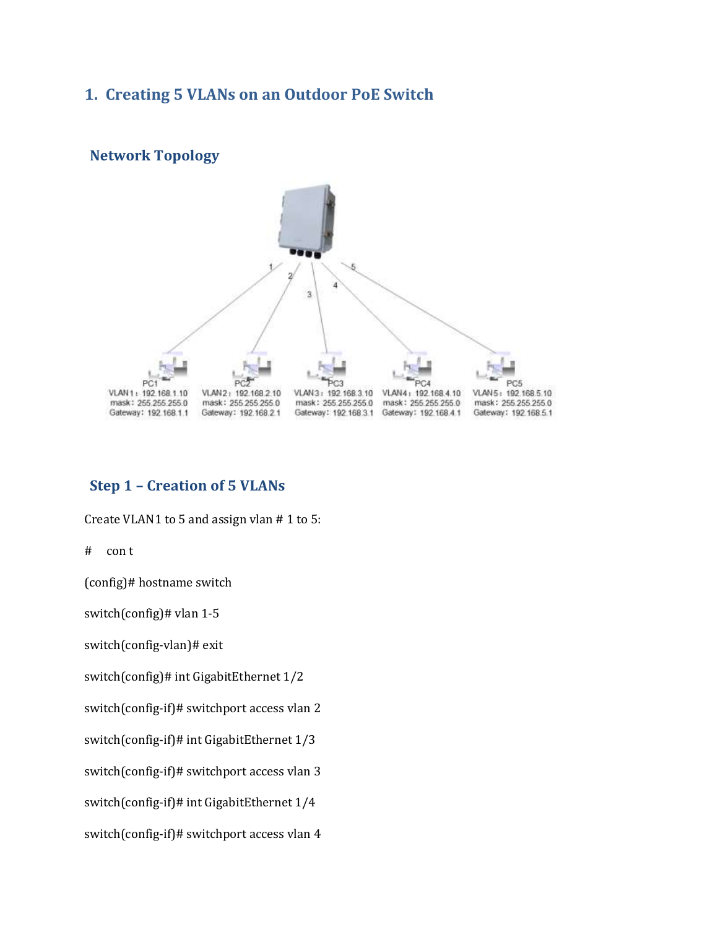#### **1. Creating 5 VLANs on an Outdoor PoE Switch**

#### **Network Topology**



#### **Step 1 – Creation of 5 VLANs**

Create VLAN1 to 5 and assign vlan # 1 to 5:

# con t

(config)# hostname switch

switch(config)# vlan 1-5

switch(config-vlan)# exit

switch(config)# int GigabitEthernet 1/2

switch(config-if)# switchport access vlan 2

switch(config-if)# int GigabitEthernet 1/3

switch(config-if)# switchport access vlan 3

switch(config-if)# int GigabitEthernet 1/4

switch(config-if)# switchport access vlan 4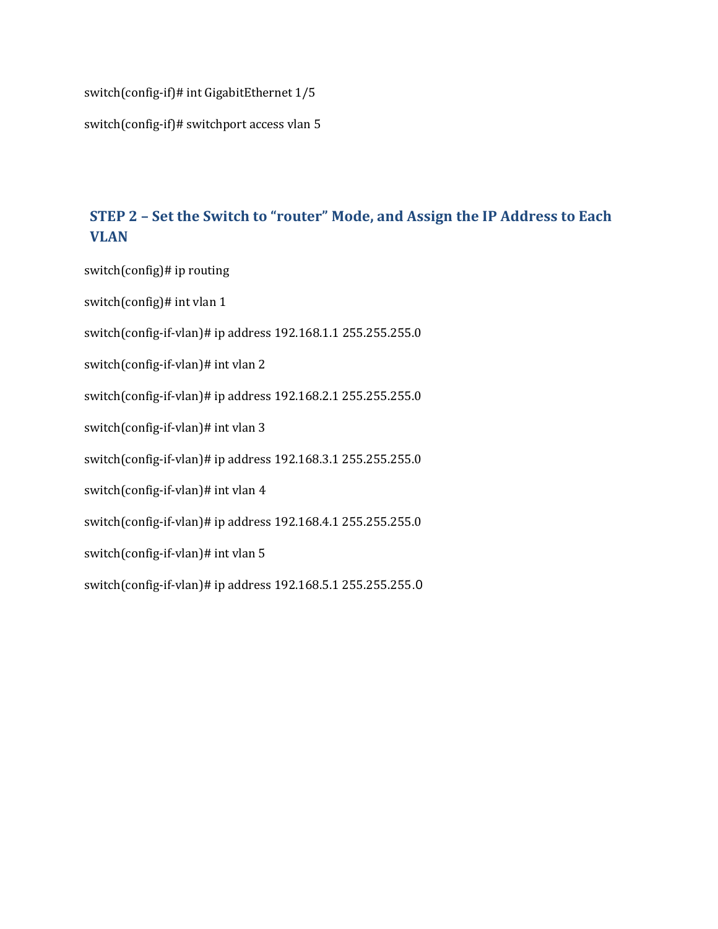switch(config-if)# int GigabitEthernet 1/5

switch(config-if)# switchport access vlan 5

#### **STEP 2 – Set the Switch to "router" Mode, and Assign the IP Address to Each VLAN**

switch(config)# ip routing switch(config)# int vlan 1 switch(config-if-vlan)# ip address 192.168.1.1 255.255.255.0 switch(config-if-vlan)# int vlan 2 switch(config-if-vlan)# ip address 192.168.2.1 255.255.255.0 switch(config-if-vlan)# int vlan 3 switch(config-if-vlan)# ip address 192.168.3.1 255.255.255.0 switch(config-if-vlan)# int vlan 4 switch(config-if-vlan)# ip address 192.168.4.1 255.255.255.0 switch(config-if-vlan)# int vlan 5 switch(config-if-vlan)# ip address 192.168.5.1 255.255.255.0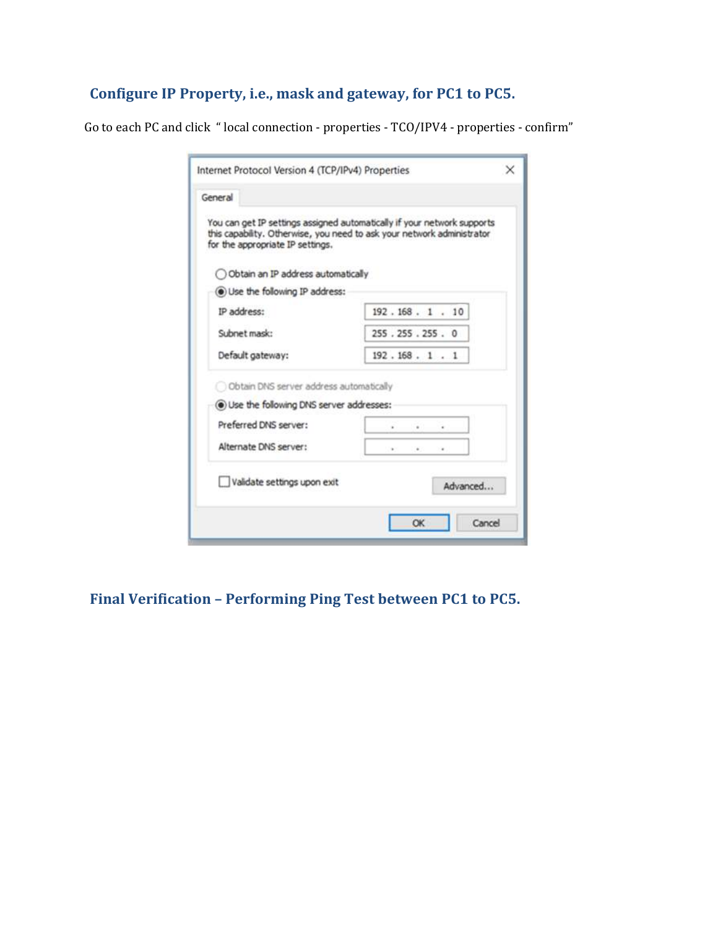## **Configure IP Property, i.e., mask and gateway, for PC1 to PC5.**

Go to each PC and click " local connection - properties - TCO/IPV4 - properties - confirm"

|         | Internet Protocol Version 4 (TCP/IPv4) Properties                                                                                                                                     |                     |        |          |          | × |
|---------|---------------------------------------------------------------------------------------------------------------------------------------------------------------------------------------|---------------------|--------|----------|----------|---|
| General |                                                                                                                                                                                       |                     |        |          |          |   |
|         | You can get IP settings assigned automatically if your network supports<br>this capability. Otherwise, you need to ask your network administrator<br>for the appropriate IP settings. |                     |        |          |          |   |
|         | O Obtain an IP address automatically                                                                                                                                                  |                     |        |          |          |   |
|         | (c) Use the following IP address:                                                                                                                                                     |                     |        |          |          |   |
|         | IP address:                                                                                                                                                                           | 192.168.1.10        |        |          |          |   |
|         | Subnet mask:                                                                                                                                                                          | 255 . 255 . 255 . 0 |        |          |          |   |
|         | Default gateway:                                                                                                                                                                      | 192.168.1.1         |        |          |          |   |
|         | Obtain DNS server address automatically                                                                                                                                               |                     |        |          |          |   |
|         | (e) Use the following DNS server addresses:                                                                                                                                           |                     |        |          |          |   |
|         | Preferred DNS server:                                                                                                                                                                 |                     | .      | $\sim$   |          |   |
|         | Alternate DNS server:                                                                                                                                                                 | ٠                   | $\sim$ | $\alpha$ |          |   |
|         | Validate settings upon exit                                                                                                                                                           |                     |        |          | Advanced |   |
|         |                                                                                                                                                                                       |                     | OK     |          | Cancel   |   |

**Final Verification – Performing Ping Test between PC1 to PC5.**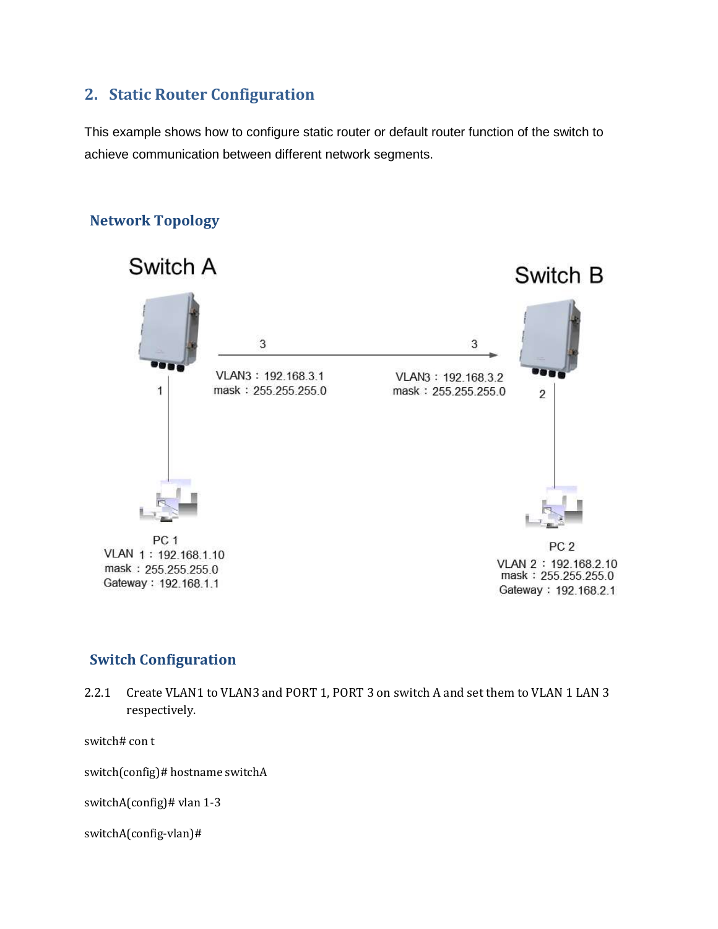#### **2. Static Router Configuration**

This example shows how to configure static router or default router function of the switch to achieve communication between different network segments.

#### **Network Topology**



#### **Switch Configuration**

2.2.1 Create VLAN1 to VLAN3 and PORT 1, PORT 3 on switch A and set them to VLAN 1 LAN 3 respectively.

switch# con t

switch(config)# hostname switchA

switchA(config)# vlan 1-3

switchA(config-vlan)#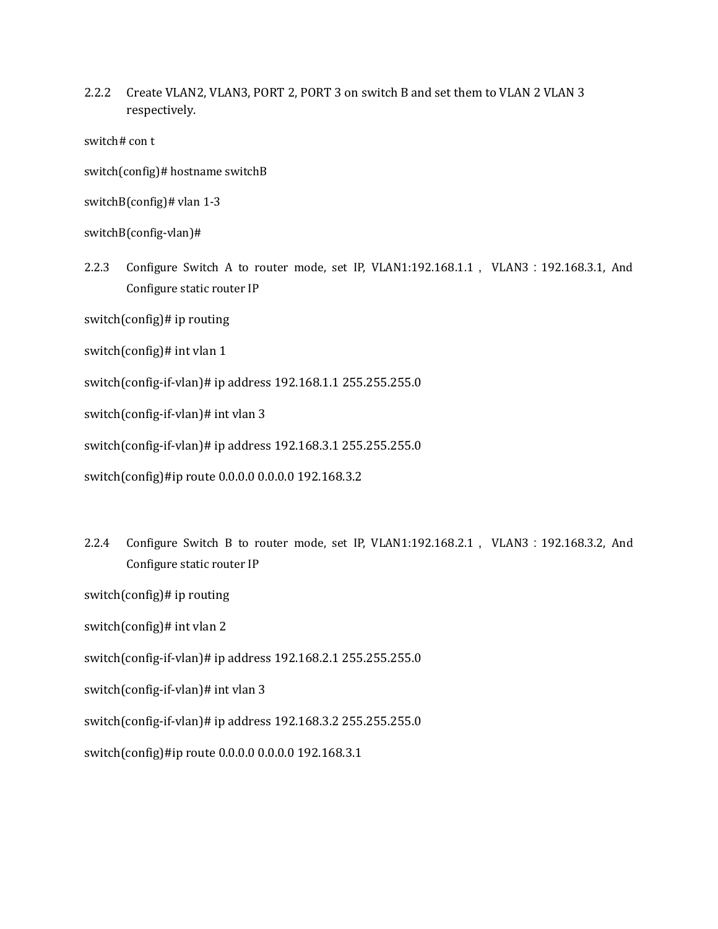2.2.2 Create VLAN2, VLAN3, PORT 2, PORT 3 on switch B and set them to VLAN 2 VLAN 3 respectively.

switch# con t

switch(config)# hostname switchB

switchB(config)# vlan 1-3

switchB(config-vlan)#

2.2.3 Configure Switch A to router mode, set IP, VLAN1:192.168.1.1, VLAN3: 192.168.3.1, And Configure static router IP

switch(config)# ip routing

switch(config)# int vlan 1

switch(config-if-vlan)# ip address 192.168.1.1 255.255.255.0

switch(config-if-vlan)# int vlan 3

switch(config-if-vlan)# ip address 192.168.3.1 255.255.255.0

switch(config)#ip route 0.0.0.0 0.0.0.0 192.168.3.2

2.2.4 Configure Switch B to router mode, set IP, VLAN1:192.168.2.1, VLAN3: 192.168.3.2, And Configure static router IP

switch(config)# ip routing

switch(config)# int vlan 2

switch(config-if-vlan)# ip address 192.168.2.1 255.255.255.0

switch(config-if-vlan)# int vlan 3

switch(config-if-vlan)# ip address 192.168.3.2 255.255.255.0

switch(config)#ip route 0.0.0.0 0.0.0.0 192.168.3.1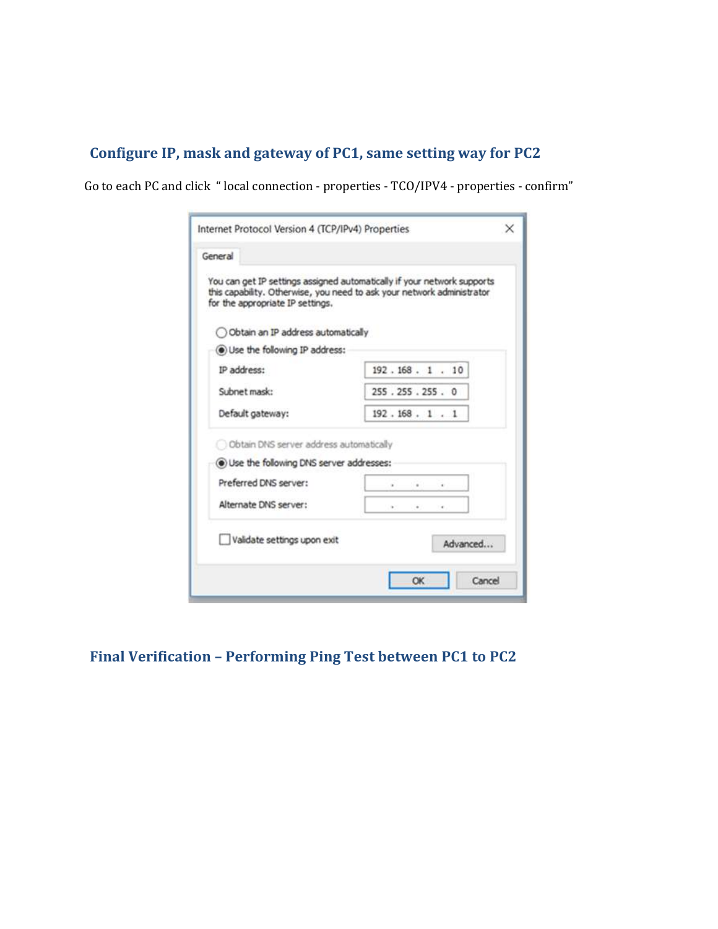#### **Configure IP, mask and gateway of PC1, same setting way for PC2**

Go to each PC and click " local connection - properties - TCO/IPV4 - properties - confirm"

| General<br>You can get IP settings assigned automatically if your network supports<br>this capability. Otherwise, you need to ask your network administrator<br>for the appropriate IP settings.<br>O Obtain an IP address automatically<br>(a) Use the following IP address:<br>IP address:<br>192.168.1.10<br>Subnet mask:<br>255.255.255.0<br>Default gateway:<br>192.168.1.1<br>Obtain DNS server address automatically<br>(c) Use the following DNS server addresses:<br>Preferred DNS server:<br>$\bullet$<br>Alternate DNS server:<br>×.<br>٠<br>٠<br>Validate settings upon exit<br>Advanced | Internet Protocol Version 4 (TCP/IPv4) Properties |  |  |  |  | × |  |
|------------------------------------------------------------------------------------------------------------------------------------------------------------------------------------------------------------------------------------------------------------------------------------------------------------------------------------------------------------------------------------------------------------------------------------------------------------------------------------------------------------------------------------------------------------------------------------------------------|---------------------------------------------------|--|--|--|--|---|--|
|                                                                                                                                                                                                                                                                                                                                                                                                                                                                                                                                                                                                      |                                                   |  |  |  |  |   |  |
|                                                                                                                                                                                                                                                                                                                                                                                                                                                                                                                                                                                                      |                                                   |  |  |  |  |   |  |
|                                                                                                                                                                                                                                                                                                                                                                                                                                                                                                                                                                                                      |                                                   |  |  |  |  |   |  |
|                                                                                                                                                                                                                                                                                                                                                                                                                                                                                                                                                                                                      |                                                   |  |  |  |  |   |  |
|                                                                                                                                                                                                                                                                                                                                                                                                                                                                                                                                                                                                      |                                                   |  |  |  |  |   |  |
|                                                                                                                                                                                                                                                                                                                                                                                                                                                                                                                                                                                                      |                                                   |  |  |  |  |   |  |
|                                                                                                                                                                                                                                                                                                                                                                                                                                                                                                                                                                                                      |                                                   |  |  |  |  |   |  |
|                                                                                                                                                                                                                                                                                                                                                                                                                                                                                                                                                                                                      |                                                   |  |  |  |  |   |  |
|                                                                                                                                                                                                                                                                                                                                                                                                                                                                                                                                                                                                      |                                                   |  |  |  |  |   |  |
|                                                                                                                                                                                                                                                                                                                                                                                                                                                                                                                                                                                                      |                                                   |  |  |  |  |   |  |
|                                                                                                                                                                                                                                                                                                                                                                                                                                                                                                                                                                                                      |                                                   |  |  |  |  |   |  |
|                                                                                                                                                                                                                                                                                                                                                                                                                                                                                                                                                                                                      |                                                   |  |  |  |  |   |  |
| OK<br>Cancel                                                                                                                                                                                                                                                                                                                                                                                                                                                                                                                                                                                         |                                                   |  |  |  |  |   |  |

**Final Verification – Performing Ping Test between PC1 to PC2**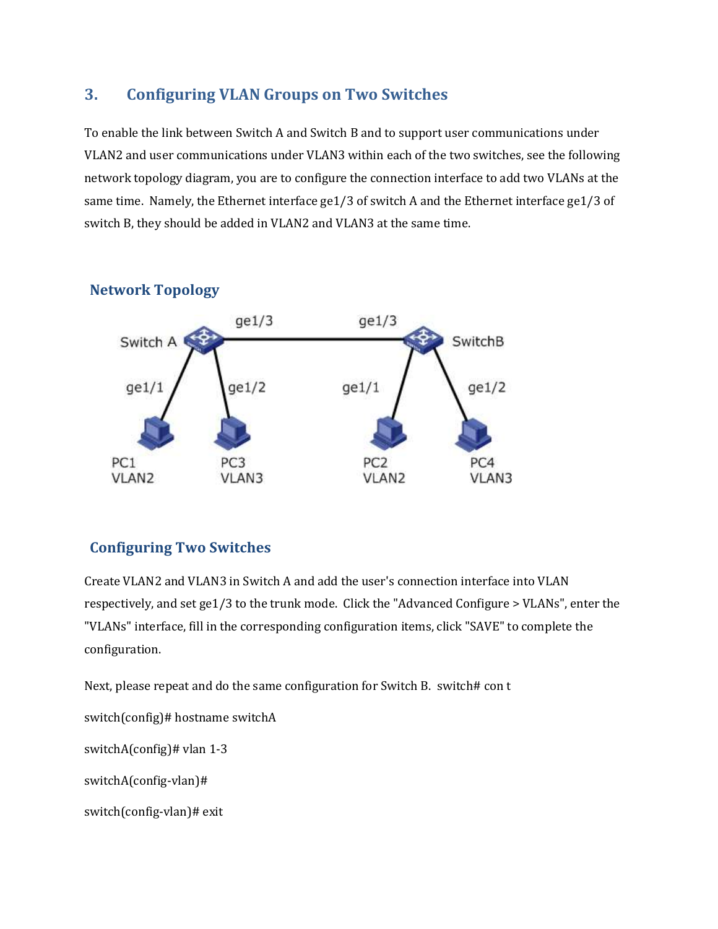#### **3. Configuring VLAN Groups on Two Switches**

To enable the link between Switch A and Switch B and to support user communications under VLAN2 and user communications under VLAN3 within each of the two switches, see the following network topology diagram, you are to configure the connection interface to add two VLANs at the same time. Namely, the Ethernet interface ge1/3 of switch A and the Ethernet interface ge1/3 of switch B, they should be added in VLAN2 and VLAN3 at the same time.



#### **Network Topology**

#### **Configuring Two Switches**

Create VLAN2 and VLAN3 in Switch A and add the user's connection interface into VLAN respectively, and set ge1/3 to the trunk mode. Click the "Advanced Configure > VLANs", enter the "VLANs" interface, fill in the corresponding configuration items, click "SAVE" to complete the configuration.

Next, please repeat and do the same configuration for Switch B. switch# con t switch(config)# hostname switchA switchA(config)# vlan 1-3 switchA(config-vlan)# switch(config-vlan)# exit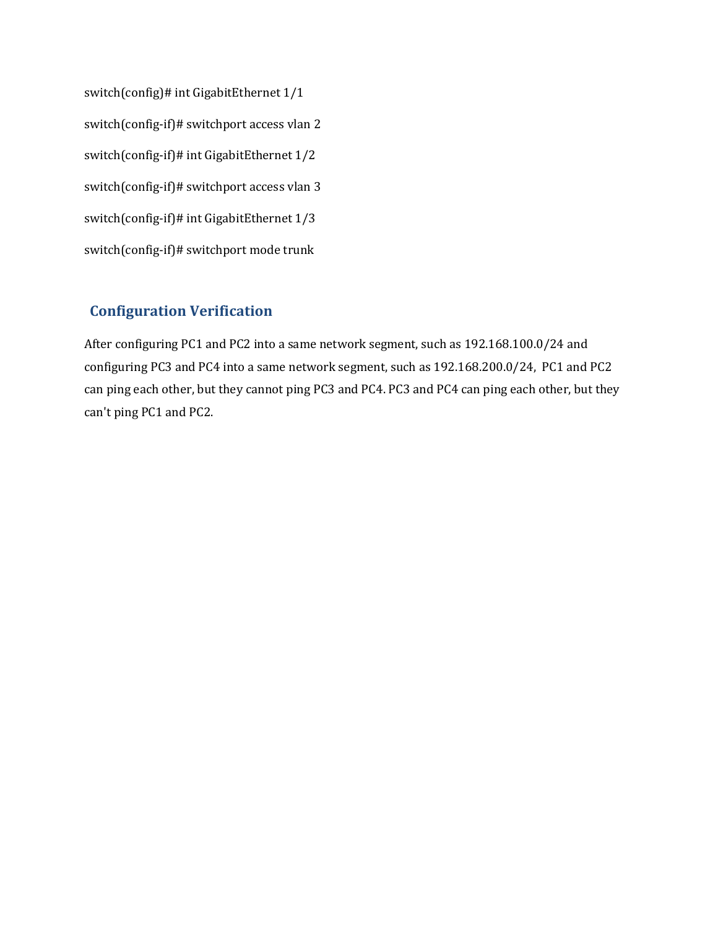switch(config)# int GigabitEthernet 1/1 switch(config-if)# switchport access vlan 2 switch(config-if)# int GigabitEthernet 1/2 switch(config-if)# switchport access vlan 3 switch(config-if)# int GigabitEthernet 1/3 switch(config-if)# switchport mode trunk

#### **Configuration Verification**

After configuring PC1 and PC2 into a same network segment, such as 192.168.100.0/24 and configuring PC3 and PC4 into a same network segment, such as 192.168.200.0/24, PC1 and PC2 can ping each other, but they cannot ping PC3 and PC4. PC3 and PC4 can ping each other, but they can't ping PC1 and PC2.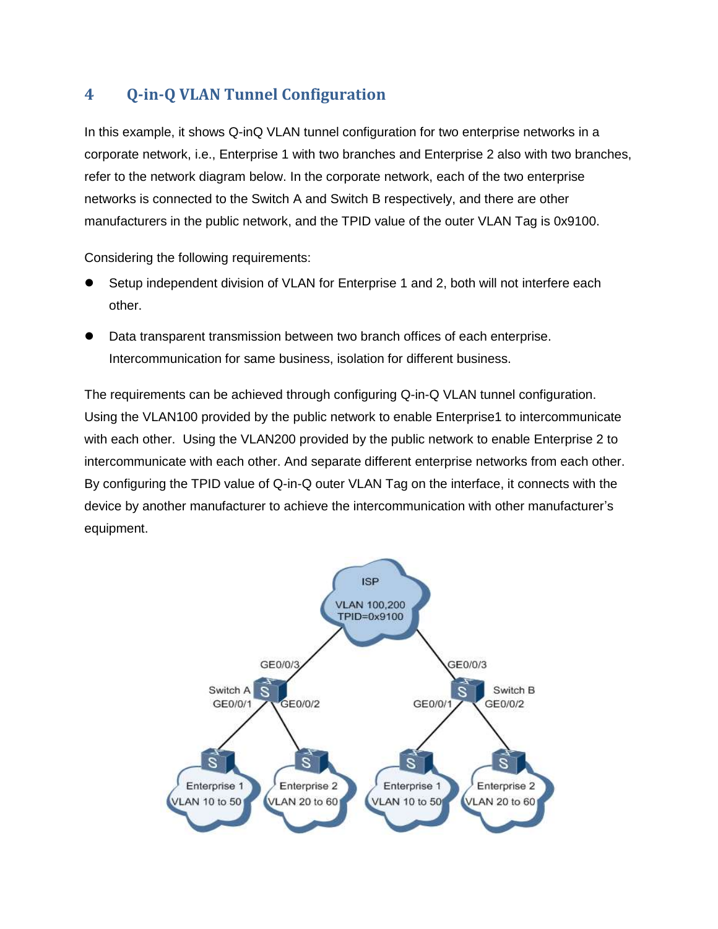### **4 Q-in-Q VLAN Tunnel Configuration**

In this example, it shows Q-inQ VLAN tunnel configuration for two enterprise networks in a corporate network, i.e., Enterprise 1 with two branches and Enterprise 2 also with two branches, refer to the network diagram below. In the corporate network, each of the two enterprise networks is connected to the Switch A and Switch B respectively, and there are other manufacturers in the public network, and the TPID value of the outer VLAN Tag is 0x9100.

Considering the following requirements:

- Setup independent division of VLAN for Enterprise 1 and 2, both will not interfere each other.
- Data transparent transmission between two branch offices of each enterprise. Intercommunication for same business, isolation for different business.

The requirements can be achieved through configuring Q-in-Q VLAN tunnel configuration. Using the VLAN100 provided by the public network to enable Enterprise1 to intercommunicate with each other. Using the VLAN200 provided by the public network to enable Enterprise 2 to intercommunicate with each other. And separate different enterprise networks from each other. By configuring the TPID value of Q-in-Q outer VLAN Tag on the interface, it connects with the device by another manufacturer to achieve the intercommunication with other manufacturer's equipment.

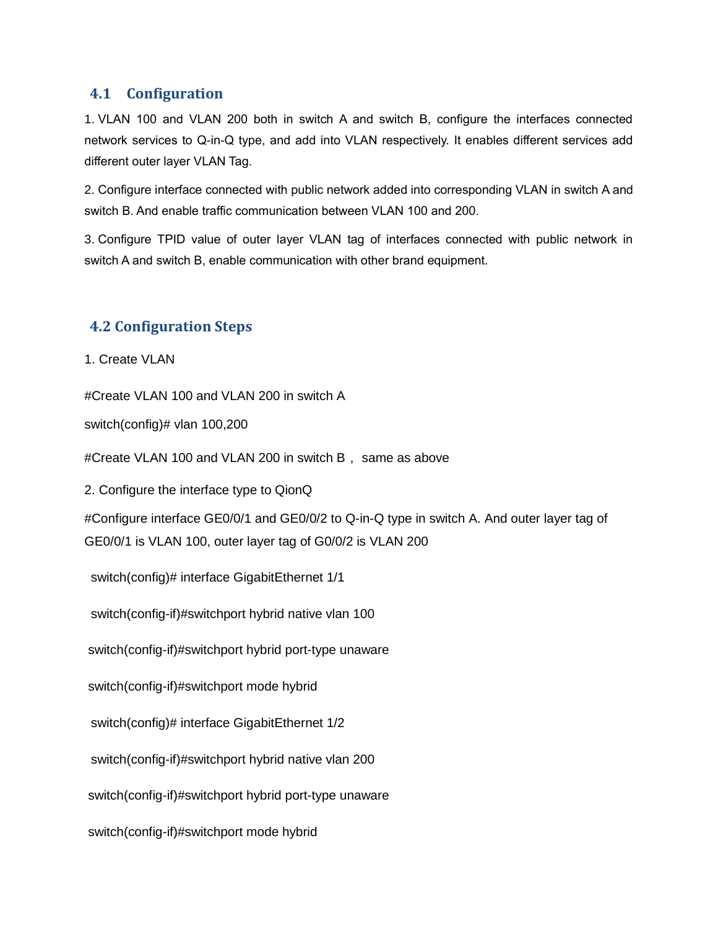#### **4.1 Configuration**

1. VLAN 100 and VLAN 200 both in switch A and switch B, configure the interfaces connected network services to Q-in-Q type, and add into VLAN respectively. It enables different services add different outer layer VLAN Tag.

2. Configure interface connected with public network added into corresponding VLAN in switch A and switch B. And enable traffic communication between VLAN 100 and 200.

3. Configure TPID value of outer layer VLAN tag of interfaces connected with public network in switch A and switch B, enable communication with other brand equipment.

#### **4.2 Configuration Steps**

1. Create VLAN

#Create VLAN 100 and VLAN 200 in switch A

switch(config)# vlan 100,200

#Create VLAN 100 and VLAN 200 in switch B, same as above

2. Configure the interface type to QionQ

#Configure interface GE0/0/1 and GE0/0/2 to Q-in-Q type in switch A. And outer layer tag of GE0/0/1 is VLAN 100, outer layer tag of G0/0/2 is VLAN 200

switch(config)# interface GigabitEthernet 1/1

switch(config-if)#switchport hybrid native vlan 100

switch(config-if)#switchport hybrid port-type unaware

switch(config-if)#switchport mode hybrid

switch(config)# interface GigabitEthernet 1/2

switch(config-if)#switchport hybrid native vlan 200

switch(config-if)#switchport hybrid port-type unaware

switch(config-if)#switchport mode hybrid